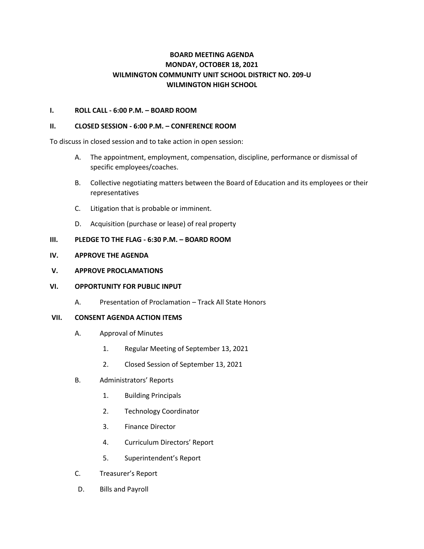# **BOARD MEETING AGENDA MONDAY, OCTOBER 18, 2021 WILMINGTON COMMUNITY UNIT SCHOOL DISTRICT NO. 209-U WILMINGTON HIGH SCHOOL**

## **I. ROLL CALL - 6:00 P.M. – BOARD ROOM**

#### **II. CLOSED SESSION - 6:00 P.M. – CONFERENCE ROOM**

To discuss in closed session and to take action in open session:

- A. The appointment, employment, compensation, discipline, performance or dismissal of specific employees/coaches.
- B. Collective negotiating matters between the Board of Education and its employees or their representatives
- C. Litigation that is probable or imminent.
- D. Acquisition (purchase or lease) of real property

## **III. PLEDGE TO THE FLAG - 6:30 P.M. – BOARD ROOM**

## **IV. APPROVE THE AGENDA**

#### **V. APPROVE PROCLAMATIONS**

## **VI. OPPORTUNITY FOR PUBLIC INPUT**

A. Presentation of Proclamation – Track All State Honors

#### **VII. CONSENT AGENDA ACTION ITEMS**

- A. Approval of Minutes
	- 1. Regular Meeting of September 13, 2021
	- 2. Closed Session of September 13, 2021
- B. Administrators' Reports
	- 1. Building Principals
	- 2. Technology Coordinator
	- 3. Finance Director
	- 4. Curriculum Directors' Report
	- 5. Superintendent's Report
- C. Treasurer's Report
- D. Bills and Payroll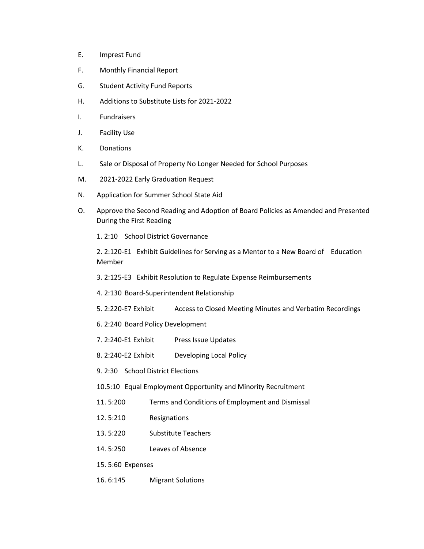- E. Imprest Fund
- F. Monthly Financial Report
- G. Student Activity Fund Reports
- H. Additions to Substitute Lists for 2021-2022
- I. Fundraisers
- J. Facility Use
- K. Donations
- L. Sale or Disposal of Property No Longer Needed for School Purposes
- M. 2021-2022 Early Graduation Request
- N. Application for Summer School State Aid
- O. Approve the Second Reading and Adoption of Board Policies as Amended and Presented During the First Reading

1. 2:10 School District Governance

2. 2:120-E1 Exhibit Guidelines for Serving as a Mentor to a New Board of Education Member

- 3. 2:125-E3 Exhibit Resolution to Regulate Expense Reimbursements
- 4. 2:130 Board-Superintendent Relationship
- 5. 2:220-E7 Exhibit Access to Closed Meeting Minutes and Verbatim Recordings
- 6. 2:240 Board Policy Development
- 7. 2:240-E1 Exhibit Press Issue Updates
- 8. 2:240-E2 Exhibit Developing Local Policy
- 9. 2:30 School District Elections
- 10.5:10 Equal Employment Opportunity and Minority Recruitment
- 11. 5:200 Terms and Conditions of Employment and Dismissal
- 12. 5:210 Resignations
- 13. 5:220 Substitute Teachers
- 14. 5:250 Leaves of Absence
- 15. 5:60 Expenses
- 16. 6:145 Migrant Solutions